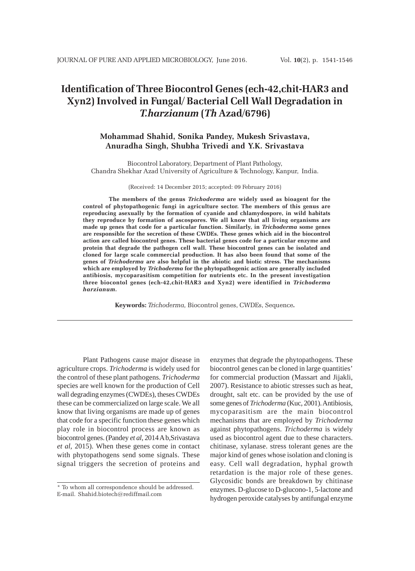# **Identification of Three Biocontrol Genes (ech-42,chit-HAR3 and Xyn2) Involved in Fungal/ Bacterial Cell Wall Degradation in** *T.harzianum* **(***Th* **Azad/6796)**

## **Mohammad Shahid, Sonika Pandey, Mukesh Srivastava, Anuradha Singh, Shubha Trivedi and Y.K. Srivastava**

Biocontrol Laboratory, Department of Plant Pathology, Chandra Shekhar Azad University of Agriculture & Technology, Kanpur, India.

(Received: 14 December 2015; accepted: 09 February 2016)

**The members of the genus** *Trichoderma* **are widely used as bioagent for the control of phytopathogenic fungi in agriculture sector. The members of this genus are reproducing asexually by the formation of cyanide and chlamydospore, in wild habitats they reproduce by formation of ascospores. We all know that all living organisms are made up genes that code for a particular function. Similarly, in** *Trichoderma* **some genes are responsible for the secretion of these CWDEs. These genes which aid in the biocontrol action are called biocontrol genes. These bacterial genes code for a particular enzyme and protein that degrade the pathogen cell wall. These biocontrol genes can be isolated and cloned for large scale commercial production. It has also been found that some of the genes of** *Trichoderma* **are also helpful in the abiotic and biotic stress. The mechanisms which are employed by** *Trichoderma* **for the phytopathogenic action are generally included antibiosis, mycoparasitism competition for nutrients etc. In the present investigation three biocontol genes (ech-42,chit-HAR3 and Xyn2) were identified in** *Trichoderma harzianum.*

**Keywords:** *Trichoderma,* Biocontrol genes, CWDEs, Sequence**.**

Plant Pathogens cause major disease in agriculture crops. *Trichoderma* is widely used for the control of these plant pathogens. *Trichoderma* species are well known for the production of Cell wall degrading enzymes (CWDEs), theses CWDEs these can be commercialized on large scale. We all know that living organisms are made up of genes that code for a specific function these genes which play role in biocontrol process are known as biocontrol genes. (Pandey *et al*, 2014 A b,Srivastava *et al*, 2015). When these genes come in contact with phytopathogens send some signals. These signal triggers the secretion of proteins and

enzymes that degrade the phytopathogens. These biocontrol genes can be cloned in large quantities' for commercial production (Massart and Jijakli, 2007). Resistance to abiotic stresses such as heat, drought, salt etc. can be provided by the use of some genes of *Trichoderma* (Kuc, 2001). Antibiosis, mycoparasitism are the main biocontrol mechanisms that are employed by *Trichoderma* against phytopathogens. *Trichoderma* is widely used as biocontrol agent due to these characters. chitinase, xylanase. stress tolerant genes are the major kind of genes whose isolation and cloning is easy. Cell wall degradation, hyphal growth retardation is the major role of these genes. Glycosidic bonds are breakdown by chitinase enzymes. D-glucose to D-glucono-1, 5-lactone and hydrogen peroxide catalyses by antifungal enzyme

<sup>\*</sup> To whom all correspondence should be addressed. E-mail. Shahid.biotech@rediffmail.com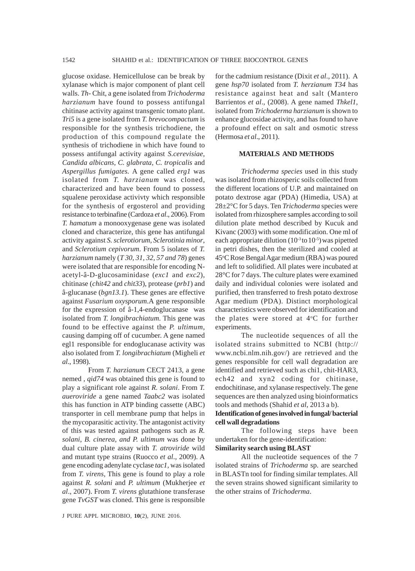glucose oxidase. Hemicellulose can be break by xylanase which is major component of plant cell walls. *Th-* Chit, a gene isolated from *Trichoderma harzianum* have found to possess antifungal chitinase activity against transgenic tomato plant. *Tri5* is a gene isolated from *T. brevocompactum* is responsible for the synthesis trichodiene, the production of this compound regulate the synthesis of trichodiene in which have found to possess antifungal activity against *S.cerevisiae, Candida albicans, C. glabrata, C. tropicalis* and *Aspergillus fumigates.* A gene called *erg1* was isolated from *T. harzianum* was cloned, characterized and have been found to possess squalene peroxidase activivty which responsible for the synthesis of ergosterol and providing resistance to terbinafine (Cardoza *et al*., 2006). From *T. hamatum* a monooxygenase gene was isolated cloned and characterize, this gene has antifungal activity against *S. sclerotiorum*, *Sclerotinia minor*, and *Sclerotium cepivorum*. From 5 isolates of *T. harzianum* namely (*T 30, 31, 32, 57 and 78*) genes were isolated that are responsible for encoding Nacetyl-â-D-glucosaminidase (*exc1* and *exc2*), chitinase (*chit42* and *chit33*), protease (*prb1*) and â-glucanase (*bgn13.1*). These genes are effective against *Fusarium oxysporum*.A gene responsible for the expression of â-1,4-endoglucanase was isolated from *T. longibrachiatum*. This gene was found to be effective against the *P. ultimum*, causing damping off of cucumber. A gene named egl1 responsible for endoglucanase activity was also isolated from *T. longibrachiatum* (Migheli *et al*., 1998).

From *T. harzianum* CECT 2413, a gene nemed , *qid74* was obtained this gene is found to play a significant role against *R. solani*. From *T. aueroviride* a gene named *Taabc2* was isolated this has function in ATP binding cassette (ABC) transporter in cell membrane pump that helps in the mycoparasitic activity. The antagonist activity of this was tested against pathogens such as *R. solani*, *B. cinerea, and P. ultimum* was done by dual culture plate assay with *T. atroviride* wild and mutant type strains (Ruocco *et al*., 2009). A gene encoding adenylate cyclase *tac1,* was isolated from *T. virens,* This gene is found to play a role against *R. solani* and *P. ultimum* (Mukherjee *et al*., 2007). From *T. virens* glutathione transferase gene *TvGST* was cloned. This gene is responsible

for the cadmium resistance (Dixit *et al*., 2011). A gene *hsp70* isolated from *T. herzianum T34* has resistance against heat and salt (Mantero Barrientos *et al*., (2008). A gene named *Thkel1*, isolated from *Trichoderma harzianum* is shown to enhance glucosidae activity, and has found to have a profound effect on salt and osmotic stress (Hermosa *et al*., 2011).

### **MATERIALS AND METHODS**

*Trichoderma species* used in this study was isolated from rhizosperic soils collected from the different locations of U.P. and maintained on potato dextrose agar (PDA) (Himedia, USA) at 28±2°C for 5 days. Ten *Trichoderma* species were isolated from rhizosphere samples according to soil dilution plate method described by Kucuk and Kivanc (2003) with some modification. One ml of each appropriate dilution  $(10^{-3}$  to  $10^{-5})$  was pipetted in petri dishes, then the sterilized and cooled at 45°C Rose Bengal Agar medium (RBA) was poured and left to solidified. All plates were incubated at 28°C for 7 days. The culture plates were examined daily and individual colonies were isolated and purified, then transferred to fresh potato dextrose Agar medium (PDA). Distinct morphological characteristics were observed for identification and the plates were stored at  $4^{\circ}$ C for further experiments.

The nucleotide sequences of all the isolated strains submitted to NCBI (http:// www.ncbi.nlm.nih.gov/) are retrieved and the genes responsible for cell wall degradation are identified and retrieved such as chi1, chit-HAR3, ech42 and xyn2 coding for chitinase, endochitinase, and xylanase respectively. The gene sequences are then analyzed using bioinformatics tools and methods (Shahid *et al*, 2013 a b).

### **Identification of genes involved in fungal/ bacterial cell wall degradations**

The following steps have been undertaken for the gene-identification:

### **Similarity search using BLAST**

All the nucleotide sequences of the 7 isolated strains of *Trichoderma* sp. are searched in BLASTn tool for finding similar templates. All the seven strains showed significant similarity to the other strains of *Trichoderma*.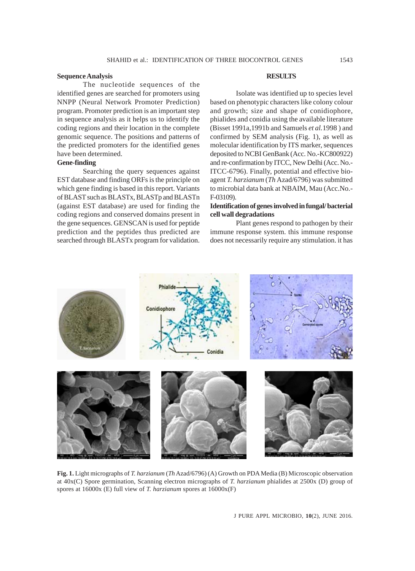### **Sequence Analysis**

The nucleotide sequences of the identified genes are searched for promoters using NNPP (Neural Network Promoter Prediction) program. Promoter prediction is an important step in sequence analysis as it helps us to identify the coding regions and their location in the complete genomic sequence. The positions and patterns of the predicted promoters for the identified genes have been determined.

### **Gene-finding**

Searching the query sequences against EST database and finding ORFs is the principle on which gene finding is based in this report. Variants of BLAST such as BLASTx, BLASTp and BLASTn (against EST database) are used for finding the coding regions and conserved domains present in the gene sequences. GENSCAN is used for peptide prediction and the peptides thus predicted are searched through BLASTx program for validation.

### **RESULTS**

Isolate was identified up to species level based on phenotypic characters like colony colour and growth; size and shape of conidiophore, phialides and conidia using the available literature (Bisset 1991a,1991b and Samuels *et al.*1998 ) and confirmed by SEM analysis (Fig. 1), as well as molecular identification by ITS marker, sequences deposited to NCBI GenBank (Acc. No.-KC800922) and re-confirmation by ITCC, New Delhi (Acc. No.- ITCC-6796). Finally, potential and effective bioagent *T. harzianum* (*Th* Azad/6796) was submitted to microbial data bank at NBAIM, Mau (Acc.No.- F-03109).

### **Identification of genes involved in fungal/ bacterial cell wall degradations**

Plant genes respond to pathogen by their immune response system. this immune response does not necessarily require any stimulation. it has



**Fig. 1.** Light micrographs of *T. harzianum* (*Th* Azad/6796) (A) Growth on PDA Media (B) Microscopic observation at 40x(C) Spore germination, Scanning electron micrographs of *T. harzianum* phialides at 2500x (D) group of spores at 16000x (E) full view of *T. harzianum* spores at 16000x(F)

J PURE APPL MICROBIO*,* **10**(2), JUNE 2016.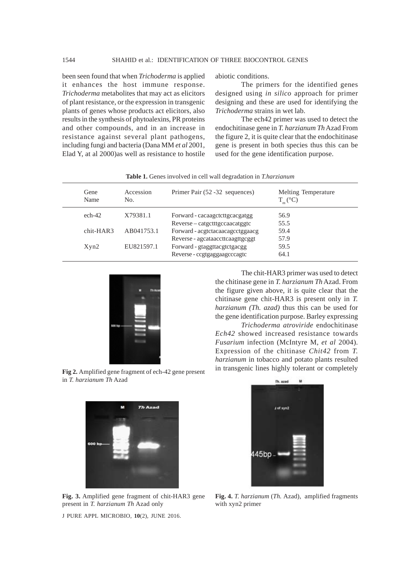been seen found that when *Trichoderma* is applied it enhances the host immune response. *Trichoderma* metabolites that may act as elicitors of plant resistance, or the expression in transgenic plants of genes whose products act elicitors, also results in the synthesis of phytoalexins, PR proteins and other compounds, and in an increase in resistance against several plant pathogens, including fungi and bacteria (Dana MM *et al* 2001, Elad Y, at al 2000)as well as resistance to hostile abiotic conditions.

The primers for the identified genes designed using *in silico* approach for primer designing and these are used for identifying the *Trichoderma* strains in wet lab.

The ech42 primer was used to detect the endochitinase gene in *T. harzianum Th* Azad From the figure 2, it is quite clear that the endochitinase gene is present in both species thus this can be used for the gene identification purpose.

| Gene<br>Name | Accession<br>No. | Primer Pair (52 - 32 sequences)  | Melting Temperature<br>$T_{m}$ (°C) |
|--------------|------------------|----------------------------------|-------------------------------------|
| $ech-42$     | X79381.1         | Forward - cacaagctcttgcacgatgg   | 56.9                                |
|              |                  | Reverse-catgctttgccaacatggtc     | 55.5                                |
| $chit-HAR3$  | AB041753.1       | Forward - acgtctacaacagcctggaacg | 59.4                                |
|              |                  | Reverse - agcataaccttcaagttgcggt | 57.9                                |
| Xyn2         | EU821597.1       | Forward - gtaggttacgtctgacgg     | 59.5                                |
|              |                  | Reverse - ccgtgaggaagcccagtc     | 64.1                                |
|              |                  |                                  |                                     |

**Table 1.** Genes involved in cell wall degradation in *T.harzianum*



The chit-HAR3 primer was used to detect the chitinase gene in *T. harzianum Th* Azad. From the figure given above, it is quite clear that the chitinase gene chit-HAR3 is present only in *T. harzianum (Th. azad)* thus this can be used for the gene identification purpose. Barley expressing

*Trichoderma atroviride* endochitinase *Ech42* showed increased resistance towards *Fusarium* infection (McIntyre M, *et al* 2004). Expression of the chitinase *Chit42* from *T. harzianum* in tobacco and potato plants resulted in transgenic lines highly tolerant or completely

**Fig 2.** Amplified gene fragment of ech-42 gene present in *T. harzianum Th* Azad



**Fig. 3.** Amplified gene fragment of chit-HAR3 gene present in *T. harzianum Th* Azad only

J PURE APPL MICROBIO*,* **10**(2), JUNE 2016.



**Fig. 4.** *T. harzianum* (*Th.* Azad), amplified fragments with xyn2 primer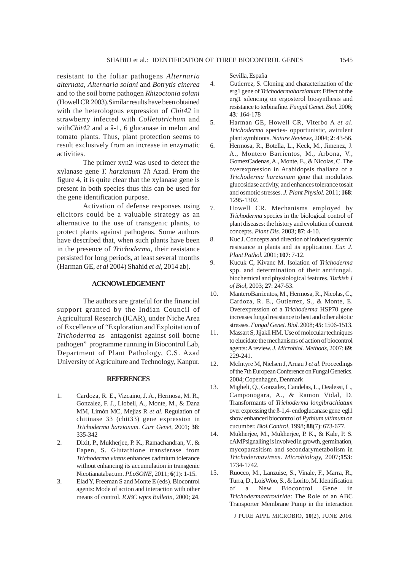resistant to the foliar pathogens *Alternaria alternata*, *Alternaria solani* and *Botrytis cinerea* and to the soil borne pathogen *Rhizoctonia solani* (Howell CR 2003).Similar results have been obtained with the heterologous expression of *Chit42* in strawberry infected with *Colletotrichum* and with*Chit42* and a â-1, 6 glucanase in melon and tomato plants. Thus, plant protection seems to result exclusively from an increase in enzymatic activities.

The primer xyn2 was used to detect the xylanase gene *T. harzianum Th* Azad. From the figure 4, it is quite clear that the xylanase gene is present in both species thus this can be used for the gene identification purpose.

Activation of defense responses using elicitors could be a valuable strategy as an alternative to the use of transgenic plants, to protect plants against pathogens. Some authors have described that, when such plants have been in the presence of *Trichoderma*, their resistance persisted for long periods, at least several months (Harman GE, *et al* 2004) Shahid *et al*, 2014 ab).

#### **ACKNOWLEDGEMENT**

The authors are grateful for the financial support granted by the Indian Council of Agricultural Research (ICAR), under Niche Area of Excellence of "Exploration and Exploitation of *Trichoderma* as antagonist against soil borne pathogen" programme running in Biocontrol Lab, Department of Plant Pathology, C.S. Azad University of Agriculture and Technology, Kanpur.

#### **REFERENCES**

- 1. Cardoza, R. E., Vizcaino, J. A., Hermosa, M. R., Gonzalez, F. J., Llobell, A., Monte, M., & Dana MM, Limón MC, Mejías R *et al*. Regulation of chitinase 33 (chit33) gene expression in *Trichoderma harzianum*. *Curr Genet,* 2001; **38**: 335-342
- 2. Dixit, P., Mukherjee, P. K., Ramachandran, V., & Eapen, S. Glutathione transferase from *Trichoderma virens* enhances cadmium tolerance without enhancing its accumulation in transgenic Nicotianatabacum. *PLoSONE,* 2011; **6**(1): 1-15.
- 3. Elad Y, Freeman S and Monte E (eds). Biocontrol agents: Mode of action and interaction with other means of control. *IOBC wprs Bulletin,* 2000; **24**.

Sevilla, España

- 4. Gutierrez, S. Cloning and characterization of the erg1 gene of *Trichodermaharzianum*: Effect of the erg1 silencing on ergosterol biosynthesis and resistance to terbinafine. *Fungal Genet. Biol.* 2006; **43***:* 164-178
- 5. Harman GE, Howell CR, Viterbo A *et al*. *Trichoderma* species- opportunistic, avirulent plant symbionts. *Nature Reviews*, 2004; **2**: 43-56.
- 6. Hermosa, R., Botella, L., Keck, M., Jimenez, J. A., Montero Barrientos, M., Arbona, V., GomezCadenas, A., Monte, E., & Nicolas, C. The overexpression in Arabidopsis thaliana of a *Trichoderma harzianum* gene that modulates glucosidase activity, and enhances tolerance tosalt and osmotic stresses. *J. Plant Physiol.* 2011; **168**: 1295-1302.
- 7. Howell CR. Mechanisms employed by *Trichoderma* species in the biological control of plant diseases: the history and evolution of current concepts. *Plant Dis.* 2003; **87**: 4-10.
- 8. Kuc J. Concepts and direction of induced systemic resistance in plants and its application. *Eur. J. Plant Pathol.* 2001; **107**: 7-12.
- 9. Kucuk C, Kivanc M. Isolation of *Trichoderma* spp. and determination of their antifungal, biochemical and physiological features. *Turkish J of Biol,* 2003; **27**: 247-53.
- 10. ManteroBarrientos, M., Hermosa, R., Nicolas, C., Cardoza, R. E., Gutierrez, S., & Monte, E. Overexpression of a *Trichoderma* HSP70 gene increases fungal resistance to heat and other abiotic stresses. *Fungal Genet. Biol.* 2008; **45**: 1506-1513.
- 11. Massart S, Jijakli HM. Use of molecular techniques to elucidate the mechanisms of action of biocontrol agents: A review. *J. Microbiol. Methods,* 2007; **69**: 229-241.
- 12. McIntyre M, Nielsen J, Arnau J *et al*. Proceedings of the 7th European Conference on Fungal Genetics. 2004; Copenhagen, Denmark
- 13. Migheli, Q., Gonzalez, Candelas, L., Dealessi, L., Camponogara, A., & Ramon Vidal, D. Transformants of *Trichoderma longibrachiatum* over expressing the ß-1,4- endoglucanase gene egl1 show enhanced biocontrol of *Pythium ultimum* on cucumber. *Biol.Control,* 1998; **88**(7): 673-677.
- 14. Mukherjee, M., Mukherjee, P. K., & Kale, P. S. cAMPsignalling is involved in growth, germination, mycoparasitism and secondarymetabolism in *Trichodermavirens*. *Microbiology,* 2007;**153***:* 1734-1742.
- 15. Ruocco, M., Lanzuise, S., Vinale, F., Marra, R., Turra, D., LoisWoo, S., & Lorito, M. Identification of a New Biocontrol Gene in *Trichodermaatroviride*: The Role of an ABC Transporter Membrane Pump in the interaction

J PURE APPL MICROBIO*,* **10**(2), JUNE 2016.